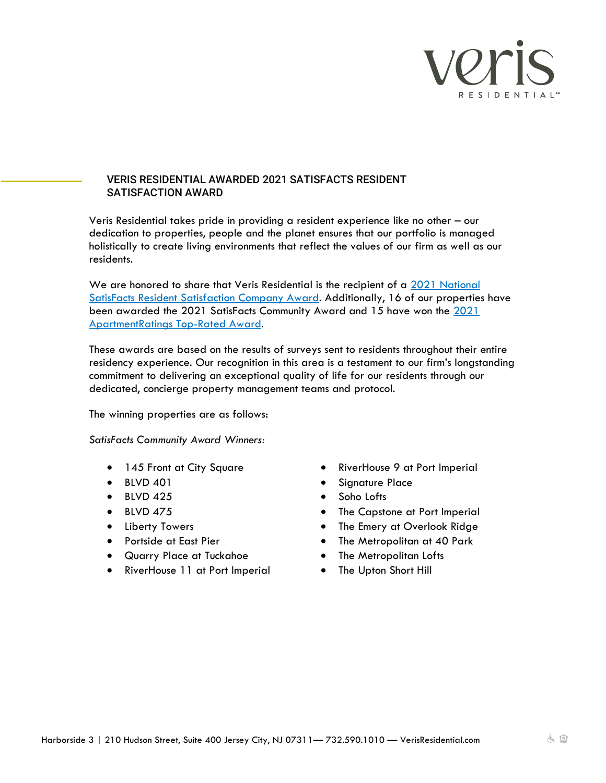

## VERIS RESIDENTIAL AWARDED 2021 SATISFACTS RESIDENT SATISFACTION AWARD

Veris Residential takes pride in providing a resident experience like no other – our dedication to properties, people and the planet ensures that our portfolio is managed holistically to create living environments that reflect the values of our firm as well as our residents.

We are honored to share that Veris Residential is the recipient of a 2021 National [SatisFacts Resident Satisfaction Company Award.](https://www.satisfacts.com/wp-content/uploads/2017/08/2021-SatisFacts-Insite-Survey-Awards-Winners-Doc-8.5-%C3%97-11-in.pdf) Additionally, 16 of our properties have been awarded the 2021 SatisFacts Community Award and 15 have won the [2021](https://www.apartmentratings.com/top-rated-awards/)  [ApartmentRatings Top-Rated Award.](https://www.apartmentratings.com/top-rated-awards/)

These awards are based on the results of surveys sent to residents throughout their entire residency experience. Our recognition in this area is a testament to our firm's longstanding commitment to delivering an exceptional quality of life for our residents through our dedicated, concierge property management teams and protocol.

The winning properties are as follows:

*SatisFacts Community Award Winners:*

- 145 Front at City Square
- BLVD 401
- $\bullet$  BLVD 425
- BLVD 475
- Liberty Towers
- Portside at East Pier
- Quarry Place at Tuckahoe
- RiverHouse 11 at Port Imperial
- RiverHouse 9 at Port Imperial
- Signature Place
- Soho Lofts
- The Capstone at Port Imperial
- The Emery at Overlook Ridge
- The Metropolitan at 40 Park
- The Metropolitan Lofts
- The Upton Short Hill